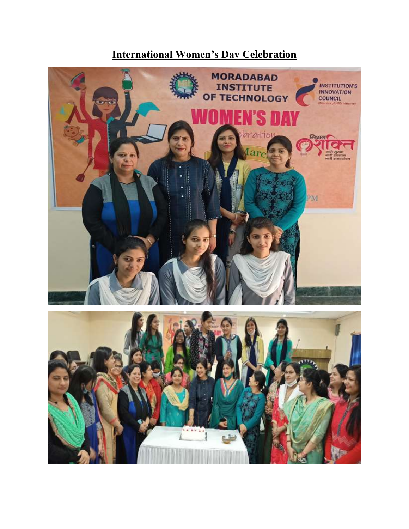## **International Women's Day Celebration**

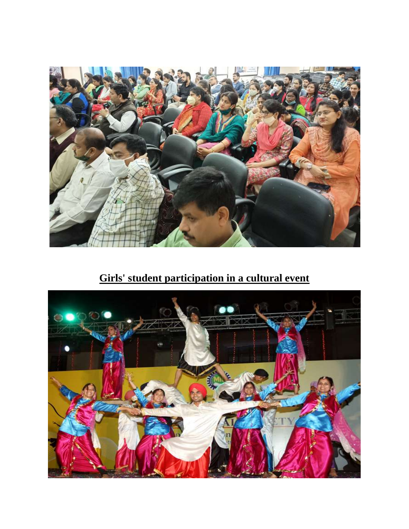

## **Girls' student participation in a cultural event**

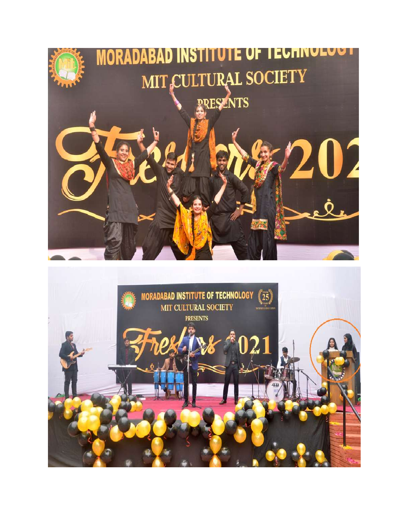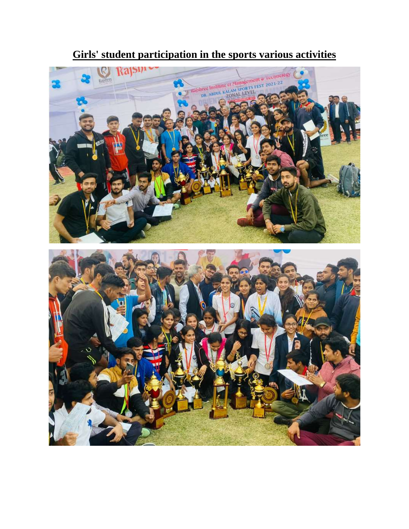## **Girls' student participation in the sports various activities**

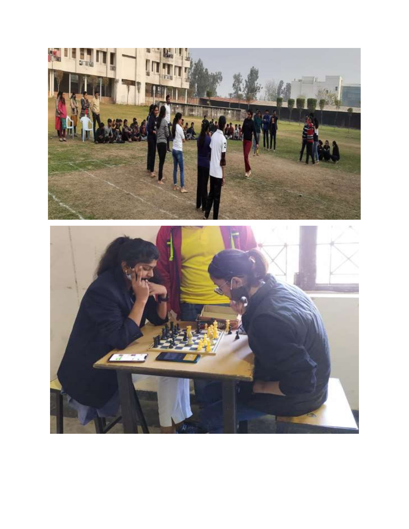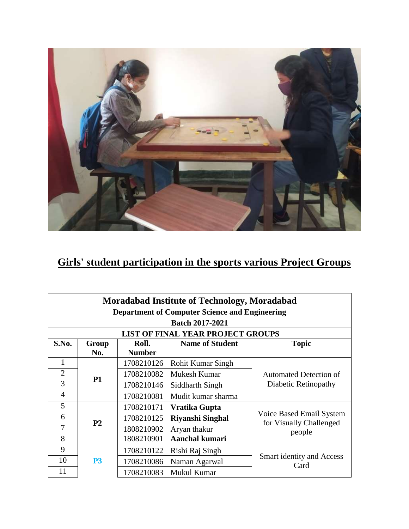

## **Girls' student participation in the sports various Project Groups**

| <b>Moradabad Institute of Technology, Moradabad</b>   |                        |               |                                          |                                                     |  |  |
|-------------------------------------------------------|------------------------|---------------|------------------------------------------|-----------------------------------------------------|--|--|
| <b>Department of Computer Science and Engineering</b> |                        |               |                                          |                                                     |  |  |
|                                                       | <b>Batch 2017-2021</b> |               |                                          |                                                     |  |  |
|                                                       |                        |               | <b>LIST OF FINAL YEAR PROJECT GROUPS</b> |                                                     |  |  |
| S.No.                                                 | Group                  | Roll.         | <b>Name of Student</b>                   | <b>Topic</b>                                        |  |  |
|                                                       | No.                    | <b>Number</b> |                                          |                                                     |  |  |
| 1                                                     |                        | 1708210126    | Rohit Kumar Singh                        |                                                     |  |  |
| $\overline{2}$                                        | <b>P1</b>              | 1708210082    | Mukesh Kumar                             | <b>Automated Detection of</b>                       |  |  |
| 3                                                     |                        | 1708210146    | Siddharth Singh                          | Diabetic Retinopathy                                |  |  |
| $\overline{4}$                                        |                        | 1708210081    | Mudit kumar sharma                       |                                                     |  |  |
| 5                                                     | <b>P2</b>              | 1708210171    | Vratika Gupta                            |                                                     |  |  |
| 6                                                     |                        | 1708210125    | <b>Riyanshi Singhal</b>                  | Voice Based Email System<br>for Visually Challenged |  |  |
| $\overline{7}$                                        |                        | 1808210902    | Aryan thakur                             | people                                              |  |  |
| 8                                                     |                        | 1808210901    | Aanchal kumari                           |                                                     |  |  |
| 9                                                     | <b>P3</b>              | 1708210122    | Rishi Raj Singh                          |                                                     |  |  |
| 10                                                    |                        | 1708210086    | Naman Agarwal                            | Smart identity and Access<br>Card                   |  |  |
| 11                                                    |                        | 1708210083    | Mukul Kumar                              |                                                     |  |  |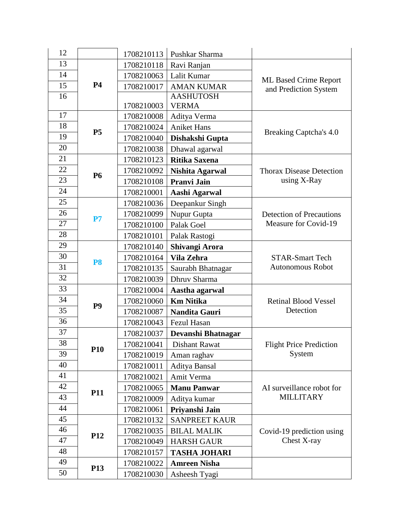| 12 |                 | 1708210113 | Pushkar Sharma       |                                                       |
|----|-----------------|------------|----------------------|-------------------------------------------------------|
| 13 | <b>P4</b>       | 1708210118 | Ravi Ranjan          |                                                       |
| 14 |                 | 1708210063 | Lalit Kumar          |                                                       |
| 15 |                 | 1708210017 | <b>AMAN KUMAR</b>    | <b>ML Based Crime Report</b><br>and Prediction System |
| 16 |                 |            | <b>AASHUTOSH</b>     |                                                       |
|    |                 | 1708210003 | <b>VERMA</b>         |                                                       |
| 17 |                 | 1708210008 | Aditya Verma         |                                                       |
| 18 | P <sub>5</sub>  | 1708210024 | <b>Aniket Hans</b>   | Breaking Captcha's 4.0                                |
| 19 |                 | 1708210040 | Dishakshi Gupta      |                                                       |
| 20 |                 | 1708210038 | Dhawal agarwal       |                                                       |
| 21 |                 | 1708210123 | <b>Ritika Saxena</b> |                                                       |
| 22 | <b>P6</b>       | 1708210092 | Nishita Agarwal      | <b>Thorax Disease Detection</b>                       |
| 23 |                 | 1708210108 | <b>Pranvi Jain</b>   | using X-Ray                                           |
| 24 |                 | 1708210001 | Aashi Agarwal        |                                                       |
| 25 |                 | 1708210036 | Deepankur Singh      |                                                       |
| 26 | P7              | 1708210099 | Nupur Gupta          | <b>Detection of Precautions</b>                       |
| 27 |                 | 1708210100 | Palak Goel           | Measure for Covid-19                                  |
| 28 |                 | 1708210101 | Palak Rastogi        |                                                       |
| 29 |                 | 1708210140 | Shivangi Arora       |                                                       |
| 30 | <b>P8</b>       | 1708210164 | Vila Zehra           | <b>STAR-Smart Tech</b>                                |
| 31 |                 | 1708210135 | Saurabh Bhatnagar    | <b>Autonomous Robot</b>                               |
| 32 |                 | 1708210039 | Dhruv Sharma         |                                                       |
| 33 |                 | 1708210004 | Aastha agarwal       |                                                       |
| 34 | P <sub>9</sub>  | 1708210060 | <b>Km Nitika</b>     | <b>Retinal Blood Vessel</b>                           |
| 35 |                 | 1708210087 | <b>Nandita Gauri</b> | Detection                                             |
| 36 |                 | 1708210043 | Fezul Hasan          |                                                       |
| 37 |                 | 1708210037 | Devanshi Bhatnagar   |                                                       |
| 38 | <b>P10</b>      | 1708210041 | <b>Dishant Rawat</b> | <b>Flight Price Prediction</b>                        |
| 39 |                 | 1708210019 | Aman raghav          | System                                                |
| 40 |                 | 1708210011 | Aditya Bansal        |                                                       |
| 41 |                 | 1708210021 | Amit Verma           |                                                       |
| 42 | <b>P11</b>      | 1708210065 | <b>Manu Panwar</b>   | AI surveillance robot for                             |
| 43 |                 | 1708210009 | Aditya kumar         | <b>MILLITARY</b>                                      |
| 44 |                 | 1708210061 | Priyanshi Jain       |                                                       |
| 45 | P <sub>12</sub> | 1708210132 | <b>SANPREET KAUR</b> |                                                       |
| 46 |                 | 1708210035 | <b>BILAL MALIK</b>   | Covid-19 prediction using                             |
| 47 |                 | 1708210049 | <b>HARSH GAUR</b>    | Chest X-ray                                           |
| 48 |                 | 1708210157 | <b>TASHA JOHARI</b>  |                                                       |
| 49 |                 | 1708210022 | <b>Amreen Nisha</b>  |                                                       |
| 50 | P13             | 1708210030 | Asheesh Tyagi        |                                                       |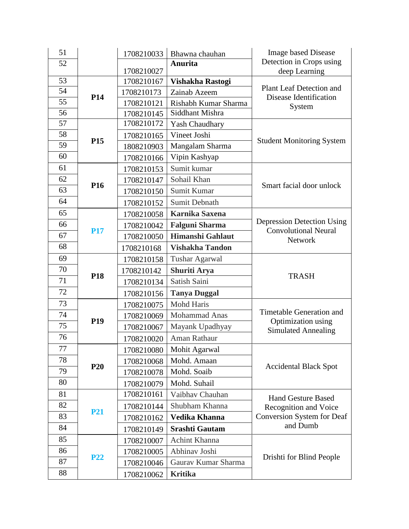| 51 |                 | 1708210033               | Bhawna chauhan         | <b>Image based Disease</b>                                |
|----|-----------------|--------------------------|------------------------|-----------------------------------------------------------|
| 52 |                 |                          | Anurita                | Detection in Crops using                                  |
| 53 |                 | 1708210027<br>1708210167 | Vishakha Rastogi       | deep Learning                                             |
| 54 | P <sub>14</sub> | 1708210173               | Zainab Azeem           | <b>Plant Leaf Detection and</b><br>Disease Identification |
| 55 |                 | 1708210121               | Rishabh Kumar Sharma   |                                                           |
| 56 |                 | 1708210145               | Siddhant Mishra        | System                                                    |
| 57 |                 | 1708210172               | <b>Yash Chaudhary</b>  | <b>Student Monitoring System</b>                          |
| 58 |                 | 1708210165               | Vineet Joshi           |                                                           |
| 59 | P15             | 1808210903               | Mangalam Sharma        |                                                           |
| 60 |                 | 1708210166               | Vipin Kashyap          |                                                           |
| 61 |                 | 1708210153               | Sumit kumar            |                                                           |
| 62 |                 | 1708210147               | Sohail Khan            |                                                           |
| 63 | P <sub>16</sub> | 1708210150               | Sumit Kumar            | Smart facial door unlock                                  |
| 64 |                 | 1708210152               | Sumit Debnath          |                                                           |
| 65 |                 | 1708210058               | Karnika Saxena         |                                                           |
| 66 |                 | 1708210042               | <b>Falguni Sharma</b>  | Depression Detection Using                                |
| 67 | <b>P17</b>      | 1708210050               | Himanshi Gahlaut       | <b>Convolutional Neural</b><br>Network                    |
| 68 |                 | 1708210168               | <b>Vishakha Tandon</b> |                                                           |
| 69 |                 | 1708210158               | <b>Tushar Agarwal</b>  | <b>TRASH</b>                                              |
| 70 |                 | 1708210142               | <b>Shuriti Arya</b>    |                                                           |
| 71 | <b>P18</b>      | 1708210134               | Satish Saini           |                                                           |
| 72 |                 | 1708210156               | <b>Tanya Duggal</b>    |                                                           |
| 73 |                 | 1708210075               | Mohd Haris             |                                                           |
| 74 |                 | 1708210069               | <b>Mohammad Anas</b>   | Timetable Generation and                                  |
| 75 | P <sub>19</sub> | 1708210067               | Mayank Upadhyay        | Optimization using<br><b>Simulated Annealing</b>          |
| 76 |                 | 1708210020               | Aman Rathaur           |                                                           |
| 77 |                 | 1708210080               | Mohit Agarwal          |                                                           |
| 78 | <b>P20</b>      | 1708210068               | Mohd. Amaan            |                                                           |
| 79 |                 | 1708210078               | Mohd. Soaib            | <b>Accidental Black Spot</b>                              |
| 80 |                 | 1708210079               | Mohd. Suhail           |                                                           |
| 81 | <b>P21</b>      | 1708210161               | Vaibhav Chauhan        | <b>Hand Gesture Based</b>                                 |
| 82 |                 | 1708210144               | Shubham Khanna         | Recognition and Voice                                     |
| 83 |                 | 1708210162               | Vedika Khanna          | Conversion System for Deaf                                |
| 84 |                 | 1708210149               | <b>Srashti Gautam</b>  | and Dumb                                                  |
| 85 |                 | 1708210007               | Achint Khanna          |                                                           |
| 86 |                 | 1708210005               | Abhinav Joshi          |                                                           |
| 87 | <b>P22</b>      | 1708210046               | Gaurav Kumar Sharma    | Drishti for Blind People                                  |
| 88 |                 | 1708210062               | <b>Kritika</b>         |                                                           |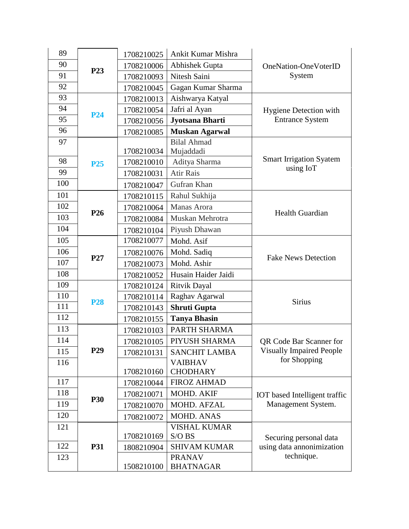| 89  |                 | 1708210025 | Ankit Kumar Mishra                   |                                             |
|-----|-----------------|------------|--------------------------------------|---------------------------------------------|
| 90  | P <sub>23</sub> | 1708210006 | <b>Abhishek Gupta</b>                | OneNation-OneVoterID                        |
| 91  |                 | 1708210093 | Nitesh Saini                         | System                                      |
| 92  |                 | 1708210045 | Gagan Kumar Sharma                   |                                             |
| 93  |                 | 1708210013 | Aishwarya Katyal                     |                                             |
| 94  | <b>P24</b>      | 1708210054 | Jafri al Ayan                        | <b>Hygiene Detection with</b>               |
| 95  |                 | 1708210056 | Jyotsana Bharti                      | <b>Entrance System</b>                      |
| 96  |                 | 1708210085 | <b>Muskan Agarwal</b>                |                                             |
| 97  |                 |            | <b>Bilal Ahmad</b>                   |                                             |
|     |                 | 1708210034 | Mujaddadi                            |                                             |
| 98  | P <sub>25</sub> | 1708210010 | Aditya Sharma                        | <b>Smart Irrigation Syatem</b><br>using IoT |
| 99  |                 | 1708210031 | <b>Atir Rais</b>                     |                                             |
| 100 |                 | 1708210047 | Gufran Khan                          |                                             |
| 101 |                 | 1708210115 | Rahul Sukhija                        |                                             |
| 102 | P <sub>26</sub> | 1708210064 | Manas Arora                          | <b>Health Guardian</b>                      |
| 103 |                 | 1708210084 | Muskan Mehrotra                      |                                             |
| 104 |                 | 1708210104 | Piyush Dhawan                        |                                             |
| 105 |                 | 1708210077 | Mohd. Asif                           |                                             |
| 106 |                 | 1708210076 | Mohd. Sadiq                          | <b>Fake News Detection</b>                  |
| 107 | P27             | 1708210073 | Mohd. Ashir                          |                                             |
| 108 |                 | 1708210052 | Husain Haider Jaidi                  |                                             |
| 109 |                 | 1708210124 | <b>Ritvik Dayal</b>                  |                                             |
| 110 | <b>P28</b>      | 1708210114 | Raghav Agarwal                       | <b>Sirius</b>                               |
| 111 |                 | 1708210143 | <b>Shruti Gupta</b>                  |                                             |
| 112 |                 | 1708210155 | <b>Tanya Bhasin</b>                  |                                             |
| 113 |                 | 1708210103 | PARTH SHARMA                         |                                             |
| 114 |                 | 1708210105 | PIYUSH SHARMA                        | <b>QR</b> Code Bar Scanner for              |
| 115 | <b>P29</b>      | 1708210131 | <b>SANCHIT LAMBA</b>                 | Visually Impaired People                    |
| 116 |                 |            | <b>VAIBHAV</b>                       | for Shopping                                |
|     |                 | 1708210160 | <b>CHODHARY</b>                      |                                             |
| 117 |                 | 1708210044 | <b>FIROZ AHMAD</b>                   |                                             |
| 118 | <b>P30</b>      | 1708210071 | MOHD. AKIF                           | IOT based Intelligent traffic               |
| 119 |                 | 1708210070 | MOHD. AFZAL                          | Management System.                          |
| 120 |                 | 1708210072 | MOHD. ANAS                           |                                             |
| 121 |                 |            | <b>VISHAL KUMAR</b>                  |                                             |
|     |                 | 1708210169 | $S/O$ BS                             | Securing personal data                      |
| 122 | <b>P31</b>      | 1808210904 | <b>SHIVAM KUMAR</b><br><b>PRANAV</b> | using data annonimization<br>technique.     |
| 123 |                 | 1508210100 | <b>BHATNAGAR</b>                     |                                             |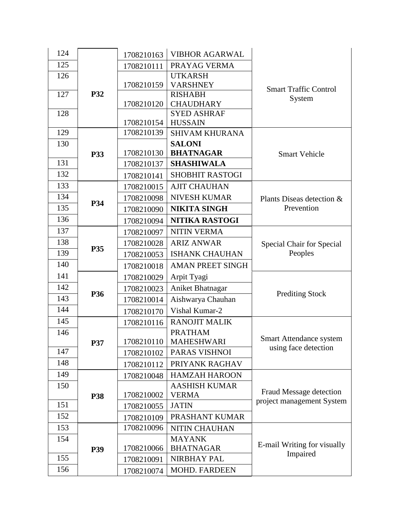| 124 |            | 1708210163 | <b>VIBHOR AGARWAL</b>              |                                                 |
|-----|------------|------------|------------------------------------|-------------------------------------------------|
| 125 |            | 1708210111 | PRAYAG VERMA                       |                                                 |
| 126 |            |            | <b>UTKARSH</b>                     |                                                 |
|     |            | 1708210159 | <b>VARSHNEY</b>                    | <b>Smart Traffic Control</b>                    |
| 127 | <b>P32</b> |            | <b>RISHABH</b><br><b>CHAUDHARY</b> | System                                          |
| 128 |            | 1708210120 | <b>SYED ASHRAF</b>                 |                                                 |
|     |            | 1708210154 | <b>HUSSAIN</b>                     |                                                 |
| 129 |            | 1708210139 | <b>SHIVAM KHURANA</b>              |                                                 |
| 130 |            |            | <b>SALONI</b>                      |                                                 |
|     | <b>P33</b> | 1708210130 | <b>BHATNAGAR</b>                   | <b>Smart Vehicle</b>                            |
| 131 |            | 1708210137 | <b>SHASHIWALA</b>                  |                                                 |
| 132 |            | 1708210141 | <b>SHOBHIT RASTOGI</b>             |                                                 |
| 133 |            | 1708210015 | <b>AJIT CHAUHAN</b>                |                                                 |
| 134 |            | 1708210098 | <b>NIVESH KUMAR</b>                | Plants Diseas detection &                       |
| 135 | P34        | 1708210090 | <b>NIKITA SINGH</b>                | Prevention                                      |
| 136 |            | 1708210094 | <b>NITIKA RASTOGI</b>              |                                                 |
| 137 |            | 1708210097 | <b>NITIN VERMA</b>                 |                                                 |
| 138 |            | 1708210028 | <b>ARIZ ANWAR</b>                  | Special Chair for Special                       |
| 139 | P35        | 1708210053 | <b>ISHANK CHAUHAN</b>              | Peoples                                         |
| 140 |            | 1708210018 | <b>AMAN PREET SINGH</b>            |                                                 |
| 141 |            | 1708210029 | Arpit Tyagi                        |                                                 |
| 142 |            | 1708210023 | Aniket Bhatnagar                   |                                                 |
| 143 | <b>P36</b> | 1708210014 | Aishwarya Chauhan                  | <b>Prediting Stock</b>                          |
| 144 |            | 1708210170 | Vishal Kumar-2                     |                                                 |
| 145 |            | 1708210116 | <b>RANOJIT MALIK</b>               |                                                 |
| 146 |            |            | <b>PRATHAM</b>                     |                                                 |
|     | P37        | 1708210110 | <b>MAHESHWARI</b>                  | Smart Attendance system<br>using face detection |
| 147 |            | 1708210102 | PARAS VISHNOI                      |                                                 |
| 148 |            | 1708210112 | PRIYANK RAGHAV                     |                                                 |
| 149 |            | 1708210048 | <b>HAMZAH HAROON</b>               |                                                 |
| 150 |            |            | <b>AASHISH KUMAR</b>               | Fraud Message detection                         |
|     | <b>P38</b> | 1708210002 | <b>VERMA</b>                       | project management System                       |
| 151 |            | 1708210055 | <b>JATIN</b>                       |                                                 |
| 152 |            | 1708210109 | PRASHANT KUMAR                     |                                                 |
| 153 |            | 1708210096 | NITIN CHAUHAN                      |                                                 |
| 154 |            |            | <b>MAYANK</b>                      | E-mail Writing for visually                     |
| 155 | P39        | 1708210066 | <b>BHATNAGAR</b>                   | Impaired                                        |
|     |            | 1708210091 | NIRBHAY PAL                        |                                                 |
| 156 |            | 1708210074 | MOHD. FARDEEN                      |                                                 |